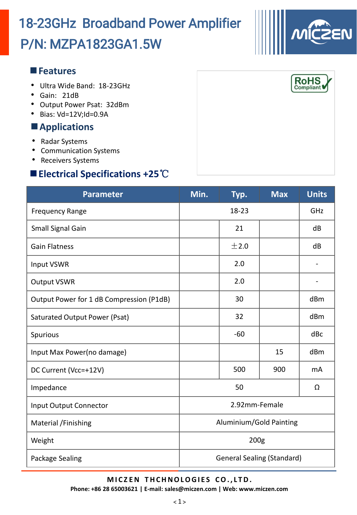#### $\langle 1 \rangle$

# P/N: MZPA1823GA1.5W 18-23GHz Broadband Power Amplifier

#### **Features**

- Ultra Wide Band: 18-23GHz
- Gain: 21dB
- Output Power Psat: 32dBm
- Bias: Vd=12V;Id=0.9A

### **Applications**

- Radar Systems
- Communication Systems
- Receivers Systems

### **Electrical Specifications +25**℃

| <b>Parameter</b>                         | Min.                              | Typ.  | <b>Max</b> | <b>Units</b> |  |
|------------------------------------------|-----------------------------------|-------|------------|--------------|--|
| <b>Frequency Range</b>                   | $18 - 23$                         |       |            | GHZ          |  |
| <b>Small Signal Gain</b>                 |                                   | 21    |            | dB           |  |
| <b>Gain Flatness</b>                     |                                   | ±2.0  |            | dB           |  |
| Input VSWR                               |                                   | 2.0   |            |              |  |
| <b>Output VSWR</b>                       |                                   | 2.0   |            |              |  |
| Output Power for 1 dB Compression (P1dB) |                                   | 30    |            | dBm          |  |
| Saturated Output Power (Psat)            |                                   | 32    |            | dBm          |  |
| Spurious                                 |                                   | $-60$ |            | dBc          |  |
| Input Max Power(no damage)               |                                   |       | 15         | dBm          |  |
| DC Current (Vcc=+12V)                    |                                   | 500   | 900        | mA           |  |
| Impedance                                | 50                                |       |            | Ω            |  |
| <b>Input Output Connector</b>            | 2.92mm-Female                     |       |            |              |  |
| Material / Finishing                     | Aluminium/Gold Painting           |       |            |              |  |
| Weight                                   | 200 <sub>g</sub>                  |       |            |              |  |
| Package Sealing                          | <b>General Sealing (Standard)</b> |       |            |              |  |